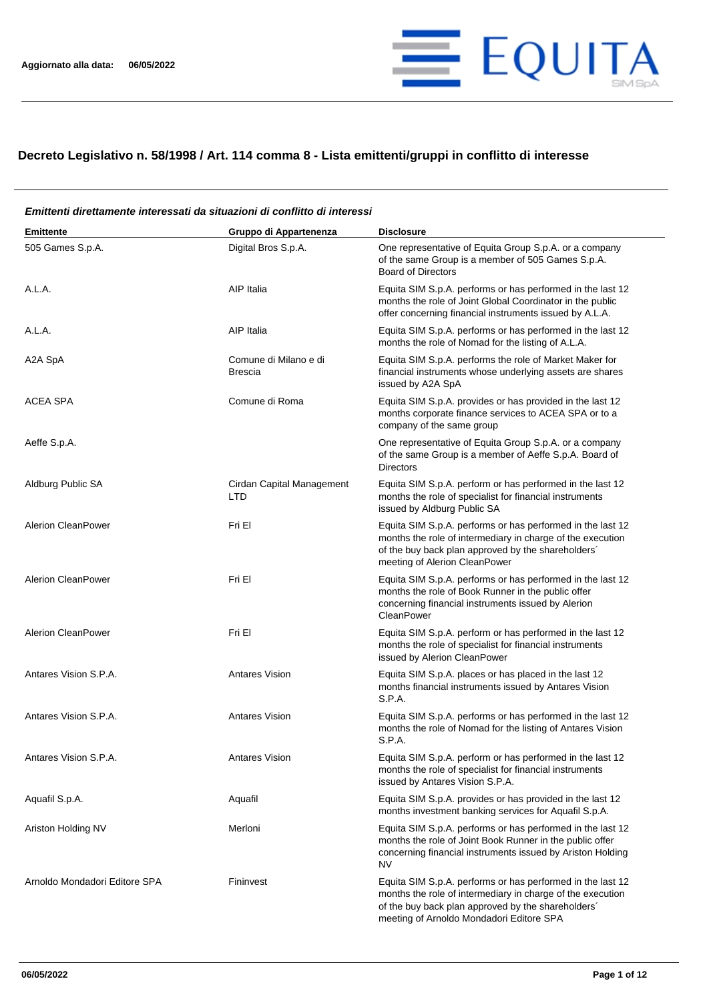

## **Decreto Legislativo n. 58/1998 / Art. 114 comma 8 - Lista emittenti/gruppi in conflitto di interesse**

## **Emittente Gruppo di Appartenenza Disclosure** 505 Games S.p.A. Digital Bros S.p.A. One representative of Equita Group S.p.A. or a company of the same Group is a member of 505 Games S.p.A. Board of Directors A.L.A. A.L.A. A.L.A. A.L.A. A.L.A. **A.L.A.** A.L.A. performs or has performed in the last 12 months the role of Joint Global Coordinator in the public offer concerning financial instruments issued by A.L.A. A.L.A. A.L.A. A.L.A. AIP Italia AIP Italia Equita SIM S.p.A. performs or has performed in the last 12 months the role of Nomad for the listing of A.L.A. A2A SpA Comune di Milano e di Brescia Equita SIM S.p.A. performs the role of Market Maker for financial instruments whose underlying assets are shares issued by A2A SpA ACEA SPA Comune di Roma Equita SIM S.p.A. provides or has provided in the last 12 months corporate finance services to ACEA SPA or to a company of the same group Aeffe S.p.A. One representative of Equita Group S.p.A. or a company of the same Group is a member of Aeffe S.p.A. Board of Directors Aldburg Public SA Cirdan Capital Management LTD Equita SIM S.p.A. perform or has performed in the last 12 months the role of specialist for financial instruments issued by Aldburg Public SA Alerion CleanPower **Fri El El El El El El El El El El El El El** Equita SIM S.p.A. performs or has performed in the last 12 months the role of intermediary in charge of the execution of the buy back plan approved by the shareholders´ meeting of Alerion CleanPower Alerion CleanPower **Fri El El El El El El El El El El El El El** Equita SIM S.p.A. performs or has performed in the last 12 months the role of Book Runner in the public offer concerning financial instruments issued by Alerion **CleanPower** Alerion CleanPower Fri El Fri El El Equita SIM S.p.A. perform or has performed in the last 12 months the role of specialist for financial instruments issued by Alerion CleanPower Antares Vision S.P.A. **Antares Vision** Antares Vision Equita SIM S.p.A. places or has placed in the last 12 months financial instruments issued by Antares Vision S.P.A. Antares Vision S.P.A. **Antares Vision** Antares Vision Equita SIM S.p.A. performs or has performed in the last 12 months the role of Nomad for the listing of Antares Vision S.P.A. Antares Vision S.P.A. Antares Vision Equita SIM S.p.A. perform or has performed in the last 12 months the role of specialist for financial instruments issued by Antares Vision S.P.A. Aquafil S.p.A. Aquafil Aquafil Equita SIM S.p.A. provides or has provided in the last 12 months investment banking services for Aquafil S.p.A. Ariston Holding NV **Merloni** Merloni **Equita SIM S.p.A. performs or has performed in the last 12** months the role of Joint Book Runner in the public offer concerning financial instruments issued by Ariston Holding NV Arnoldo Mondadori Editore SPA Fininvest Fininvest Equita SIM S.p.A. performs or has performed in the last 12 months the role of intermediary in charge of the execution of the buy back plan approved by the shareholders´ meeting of Arnoldo Mondadori Editore SPA

## *Emittenti direttamente interessati da situazioni di conflitto di interessi*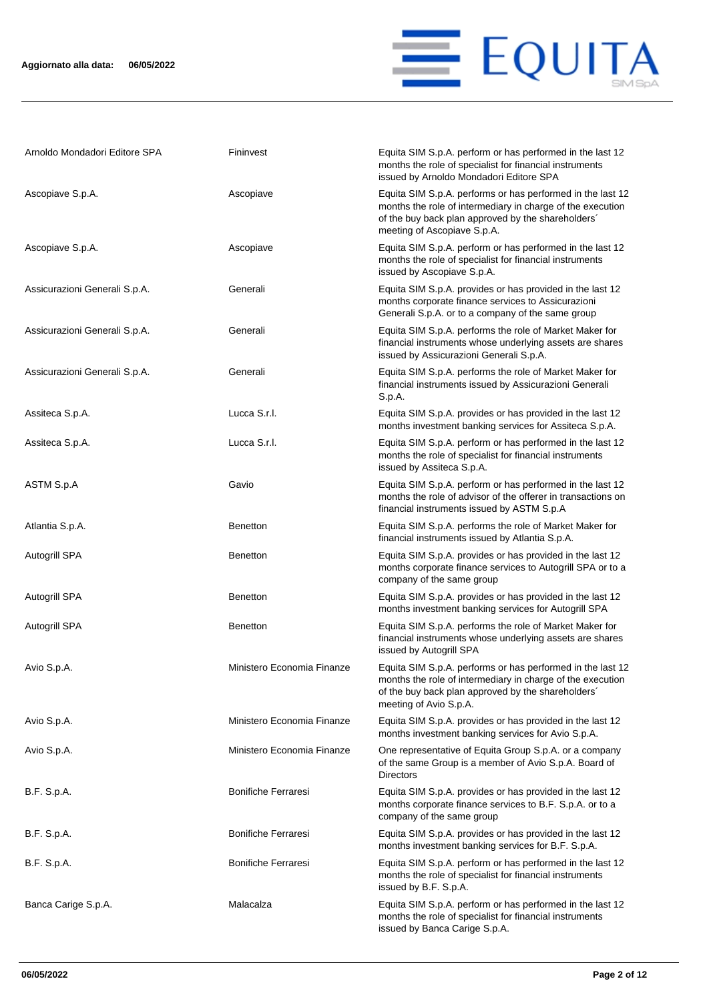

| Arnoldo Mondadori Editore SPA | Fininvest                  | Equita SIM S.p.A. perform or has performed in the last 12<br>months the role of specialist for financial instruments<br>issued by Arnoldo Mondadori Editore SPA                                               |
|-------------------------------|----------------------------|---------------------------------------------------------------------------------------------------------------------------------------------------------------------------------------------------------------|
| Ascopiave S.p.A.              | Ascopiave                  | Equita SIM S.p.A. performs or has performed in the last 12<br>months the role of intermediary in charge of the execution<br>of the buy back plan approved by the shareholders'<br>meeting of Ascopiave S.p.A. |
| Ascopiave S.p.A.              | Ascopiave                  | Equita SIM S.p.A. perform or has performed in the last 12<br>months the role of specialist for financial instruments<br>issued by Ascopiave S.p.A.                                                            |
| Assicurazioni Generali S.p.A. | Generali                   | Equita SIM S.p.A. provides or has provided in the last 12<br>months corporate finance services to Assicurazioni<br>Generali S.p.A. or to a company of the same group                                          |
| Assicurazioni Generali S.p.A. | Generali                   | Equita SIM S.p.A. performs the role of Market Maker for<br>financial instruments whose underlying assets are shares<br>issued by Assicurazioni Generali S.p.A.                                                |
| Assicurazioni Generali S.p.A. | Generali                   | Equita SIM S.p.A. performs the role of Market Maker for<br>financial instruments issued by Assicurazioni Generali<br>S.p.A.                                                                                   |
| Assiteca S.p.A.               | Lucca S.r.l.               | Equita SIM S.p.A. provides or has provided in the last 12<br>months investment banking services for Assiteca S.p.A.                                                                                           |
| Assiteca S.p.A.               | Lucca S.r.l.               | Equita SIM S.p.A. perform or has performed in the last 12<br>months the role of specialist for financial instruments<br>issued by Assiteca S.p.A.                                                             |
| ASTM S.p.A                    | Gavio                      | Equita SIM S.p.A. perform or has performed in the last 12<br>months the role of advisor of the offerer in transactions on<br>financial instruments issued by ASTM S.p.A                                       |
| Atlantia S.p.A.               | <b>Benetton</b>            | Equita SIM S.p.A. performs the role of Market Maker for<br>financial instruments issued by Atlantia S.p.A.                                                                                                    |
| Autogrill SPA                 | <b>Benetton</b>            | Equita SIM S.p.A. provides or has provided in the last 12<br>months corporate finance services to Autogrill SPA or to a<br>company of the same group                                                          |
| Autogrill SPA                 | <b>Benetton</b>            | Equita SIM S.p.A. provides or has provided in the last 12<br>months investment banking services for Autogrill SPA                                                                                             |
| <b>Autogrill SPA</b>          | <b>Benetton</b>            | Equita SIM S.p.A. performs the role of Market Maker for<br>financial instruments whose underlying assets are shares<br>issued by Autogrill SPA                                                                |
| Avio S.p.A.                   | Ministero Economia Finanze | Equita SIM S.p.A. performs or has performed in the last 12<br>months the role of intermediary in charge of the execution<br>of the buy back plan approved by the shareholders'<br>meeting of Avio S.p.A.      |
| Avio S.p.A.                   | Ministero Economia Finanze | Equita SIM S.p.A. provides or has provided in the last 12<br>months investment banking services for Avio S.p.A.                                                                                               |
| Avio S.p.A.                   | Ministero Economia Finanze | One representative of Equita Group S.p.A. or a company<br>of the same Group is a member of Avio S.p.A. Board of<br><b>Directors</b>                                                                           |
| B.F. S.p.A.                   | <b>Bonifiche Ferraresi</b> | Equita SIM S.p.A. provides or has provided in the last 12<br>months corporate finance services to B.F. S.p.A. or to a<br>company of the same group                                                            |
| B.F. S.p.A.                   | <b>Bonifiche Ferraresi</b> | Equita SIM S.p.A. provides or has provided in the last 12<br>months investment banking services for B.F. S.p.A.                                                                                               |
| B.F. S.p.A.                   | <b>Bonifiche Ferraresi</b> | Equita SIM S.p.A. perform or has performed in the last 12<br>months the role of specialist for financial instruments<br>issued by B.F. S.p.A.                                                                 |
| Banca Carige S.p.A.           | Malacalza                  | Equita SIM S.p.A. perform or has performed in the last 12<br>months the role of specialist for financial instruments<br>issued by Banca Carige S.p.A.                                                         |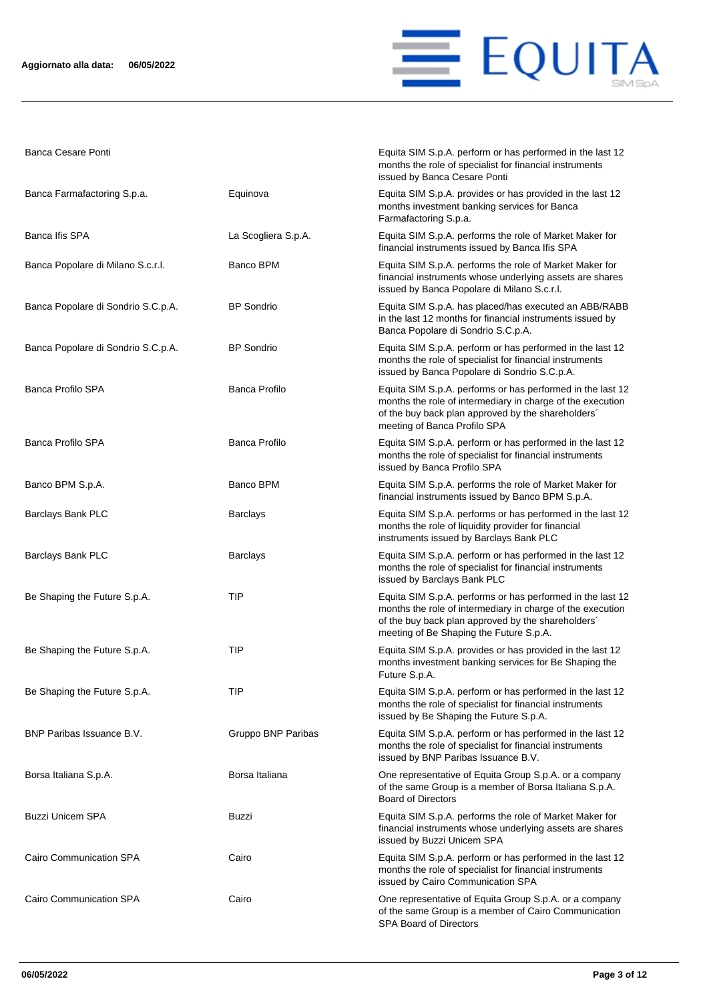

Banca Cesare Ponti **Equita SIM S.p.A. perform or has performed in the last 12** 

|                                    |                      | months the role of specialist for financial instruments<br>issued by Banca Cesare Ponti                                                                                                                                   |
|------------------------------------|----------------------|---------------------------------------------------------------------------------------------------------------------------------------------------------------------------------------------------------------------------|
| Banca Farmafactoring S.p.a.        | Equinova             | Equita SIM S.p.A. provides or has provided in the last 12<br>months investment banking services for Banca<br>Farmafactoring S.p.a.                                                                                        |
| Banca Ifis SPA                     | La Scogliera S.p.A.  | Equita SIM S.p.A. performs the role of Market Maker for<br>financial instruments issued by Banca Ifis SPA                                                                                                                 |
| Banca Popolare di Milano S.c.r.l.  | Banco BPM            | Equita SIM S.p.A. performs the role of Market Maker for<br>financial instruments whose underlying assets are shares<br>issued by Banca Popolare di Milano S.c.r.l.                                                        |
| Banca Popolare di Sondrio S.C.p.A. | <b>BP</b> Sondrio    | Equita SIM S.p.A. has placed/has executed an ABB/RABB<br>in the last 12 months for financial instruments issued by<br>Banca Popolare di Sondrio S.C.p.A.                                                                  |
| Banca Popolare di Sondrio S.C.p.A. | <b>BP</b> Sondrio    | Equita SIM S.p.A. perform or has performed in the last 12<br>months the role of specialist for financial instruments<br>issued by Banca Popolare di Sondrio S.C.p.A.                                                      |
| <b>Banca Profilo SPA</b>           | <b>Banca Profilo</b> | Equita SIM S.p.A. performs or has performed in the last 12<br>months the role of intermediary in charge of the execution<br>of the buy back plan approved by the shareholders'<br>meeting of Banca Profilo SPA            |
| <b>Banca Profilo SPA</b>           | Banca Profilo        | Equita SIM S.p.A. perform or has performed in the last 12<br>months the role of specialist for financial instruments<br>issued by Banca Profilo SPA                                                                       |
| Banco BPM S.p.A.                   | Banco BPM            | Equita SIM S.p.A. performs the role of Market Maker for<br>financial instruments issued by Banco BPM S.p.A.                                                                                                               |
| Barclays Bank PLC                  | <b>Barclays</b>      | Equita SIM S.p.A. performs or has performed in the last 12<br>months the role of liquidity provider for financial<br>instruments issued by Barclays Bank PLC                                                              |
| Barclays Bank PLC                  | <b>Barclays</b>      | Equita SIM S.p.A. perform or has performed in the last 12<br>months the role of specialist for financial instruments<br>issued by Barclays Bank PLC                                                                       |
| Be Shaping the Future S.p.A.       | TIP                  | Equita SIM S.p.A. performs or has performed in the last 12<br>months the role of intermediary in charge of the execution<br>of the buy back plan approved by the shareholders'<br>meeting of Be Shaping the Future S.p.A. |
| Be Shaping the Future S.p.A.       | TIP                  | Equita SIM S.p.A. provides or has provided in the last 12<br>months investment banking services for Be Shaping the<br>Future S.p.A.                                                                                       |
| Be Shaping the Future S.p.A.       | <b>TIP</b>           | Equita SIM S.p.A. perform or has performed in the last 12<br>months the role of specialist for financial instruments<br>issued by Be Shaping the Future S.p.A.                                                            |
| BNP Paribas Issuance B.V.          | Gruppo BNP Paribas   | Equita SIM S.p.A. perform or has performed in the last 12<br>months the role of specialist for financial instruments<br>issued by BNP Paribas Issuance B.V.                                                               |
| Borsa Italiana S.p.A.              | Borsa Italiana       | One representative of Equita Group S.p.A. or a company<br>of the same Group is a member of Borsa Italiana S.p.A.<br><b>Board of Directors</b>                                                                             |
| <b>Buzzi Unicem SPA</b>            | Buzzi                | Equita SIM S.p.A. performs the role of Market Maker for<br>financial instruments whose underlying assets are shares<br>issued by Buzzi Unicem SPA                                                                         |
| Cairo Communication SPA            | Cairo                | Equita SIM S.p.A. perform or has performed in the last 12<br>months the role of specialist for financial instruments<br>issued by Cairo Communication SPA                                                                 |
| Cairo Communication SPA            | Cairo                | One representative of Equita Group S.p.A. or a company<br>of the same Group is a member of Cairo Communication<br><b>SPA Board of Directors</b>                                                                           |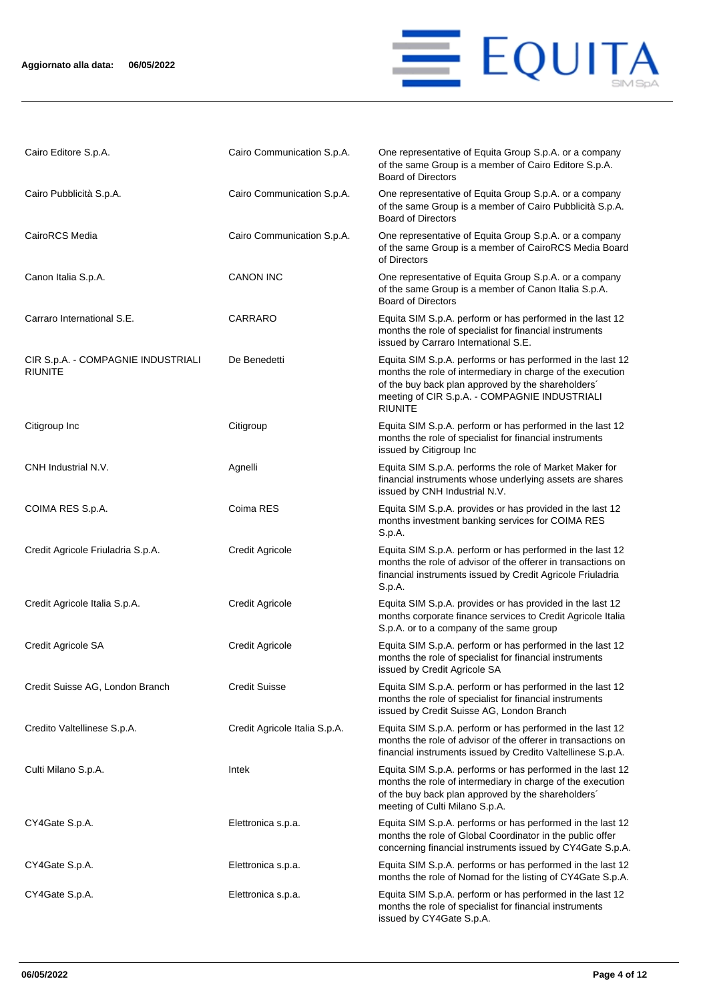## **Aggiornato alla data: 06/05/2022**



| Cairo Editore S.p.A.                                 | Cairo Communication S.p.A.    | One representative of Equita Group S.p.A. or a company<br>of the same Group is a member of Cairo Editore S.p.A.<br><b>Board of Directors</b>                                                                                                      |
|------------------------------------------------------|-------------------------------|---------------------------------------------------------------------------------------------------------------------------------------------------------------------------------------------------------------------------------------------------|
| Cairo Pubblicità S.p.A.                              | Cairo Communication S.p.A.    | One representative of Equita Group S.p.A. or a company<br>of the same Group is a member of Cairo Pubblicità S.p.A.<br><b>Board of Directors</b>                                                                                                   |
| CairoRCS Media                                       | Cairo Communication S.p.A.    | One representative of Equita Group S.p.A. or a company<br>of the same Group is a member of CairoRCS Media Board<br>of Directors                                                                                                                   |
| Canon Italia S.p.A.                                  | <b>CANON INC</b>              | One representative of Equita Group S.p.A. or a company<br>of the same Group is a member of Canon Italia S.p.A.<br><b>Board of Directors</b>                                                                                                       |
| Carraro International S.E.                           | CARRARO                       | Equita SIM S.p.A. perform or has performed in the last 12<br>months the role of specialist for financial instruments<br>issued by Carraro International S.E.                                                                                      |
| CIR S.p.A. - COMPAGNIE INDUSTRIALI<br><b>RIUNITE</b> | De Benedetti                  | Equita SIM S.p.A. performs or has performed in the last 12<br>months the role of intermediary in charge of the execution<br>of the buy back plan approved by the shareholders'<br>meeting of CIR S.p.A. - COMPAGNIE INDUSTRIALI<br><b>RIUNITE</b> |
| Citigroup Inc                                        | Citigroup                     | Equita SIM S.p.A. perform or has performed in the last 12<br>months the role of specialist for financial instruments<br>issued by Citigroup Inc                                                                                                   |
| CNH Industrial N.V.                                  | Agnelli                       | Equita SIM S.p.A. performs the role of Market Maker for<br>financial instruments whose underlying assets are shares<br>issued by CNH Industrial N.V.                                                                                              |
| COIMA RES S.p.A.                                     | Coima RES                     | Equita SIM S.p.A. provides or has provided in the last 12<br>months investment banking services for COIMA RES<br>S.p.A.                                                                                                                           |
| Credit Agricole Friuladria S.p.A.                    | <b>Credit Agricole</b>        | Equita SIM S.p.A. perform or has performed in the last 12<br>months the role of advisor of the offerer in transactions on<br>financial instruments issued by Credit Agricole Friuladria<br>S.p.A.                                                 |
| Credit Agricole Italia S.p.A.                        | <b>Credit Agricole</b>        | Equita SIM S.p.A. provides or has provided in the last 12<br>months corporate finance services to Credit Agricole Italia<br>S.p.A. or to a company of the same group                                                                              |
| Credit Agricole SA                                   | <b>Credit Agricole</b>        | Equita SIM S.p.A. perform or has performed in the last 12<br>months the role of specialist for financial instruments<br>issued by Credit Agricole SA                                                                                              |
| Credit Suisse AG, London Branch                      | <b>Credit Suisse</b>          | Equita SIM S.p.A. perform or has performed in the last 12<br>months the role of specialist for financial instruments<br>issued by Credit Suisse AG, London Branch                                                                                 |
| Credito Valtellinese S.p.A.                          | Credit Agricole Italia S.p.A. | Equita SIM S.p.A. perform or has performed in the last 12<br>months the role of advisor of the offerer in transactions on<br>financial instruments issued by Credito Valtellinese S.p.A.                                                          |
| Culti Milano S.p.A.                                  | Intek                         | Equita SIM S.p.A. performs or has performed in the last 12<br>months the role of intermediary in charge of the execution<br>of the buy back plan approved by the shareholders'<br>meeting of Culti Milano S.p.A.                                  |
| CY4Gate S.p.A.                                       | Elettronica s.p.a.            | Equita SIM S.p.A. performs or has performed in the last 12<br>months the role of Global Coordinator in the public offer<br>concerning financial instruments issued by CY4Gate S.p.A.                                                              |
| CY4Gate S.p.A.                                       | Elettronica s.p.a.            | Equita SIM S.p.A. performs or has performed in the last 12<br>months the role of Nomad for the listing of CY4Gate S.p.A.                                                                                                                          |
| CY4Gate S.p.A.                                       | Elettronica s.p.a.            | Equita SIM S.p.A. perform or has performed in the last 12<br>months the role of specialist for financial instruments<br>issued by CY4Gate S.p.A.                                                                                                  |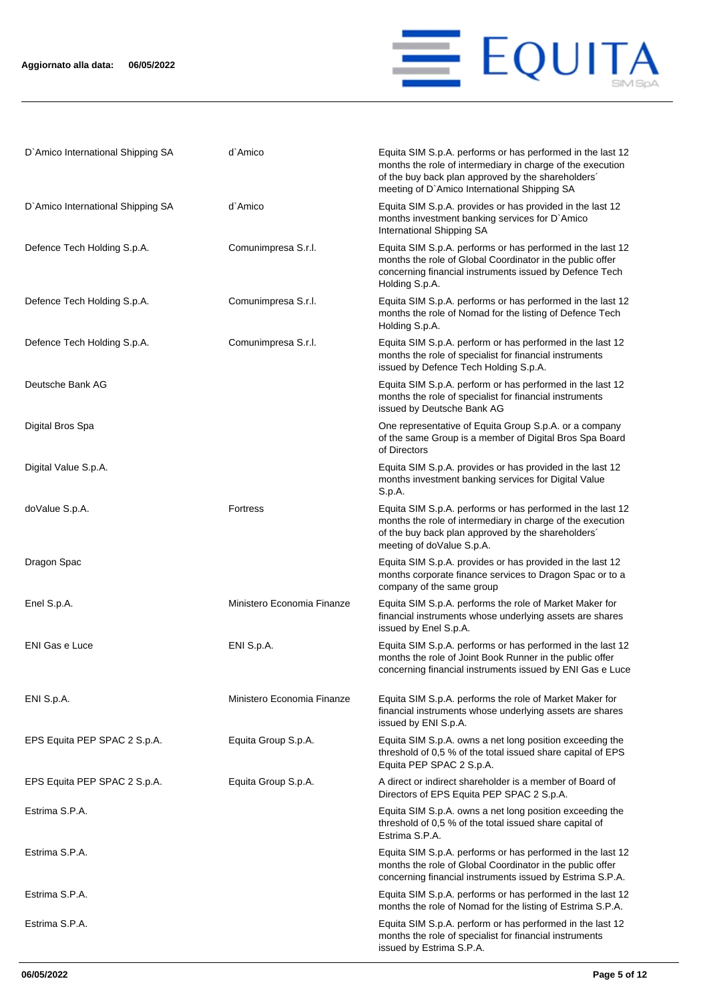

| D'Amico International Shipping SA | d`Amico                    | Equita SIM S.p.A. performs or has performed in the last 12<br>months the role of intermediary in charge of the execution<br>of the buy back plan approved by the shareholders'<br>meeting of D'Amico International Shipping SA |
|-----------------------------------|----------------------------|--------------------------------------------------------------------------------------------------------------------------------------------------------------------------------------------------------------------------------|
| D'Amico International Shipping SA | d`Amico                    | Equita SIM S.p.A. provides or has provided in the last 12<br>months investment banking services for D'Amico<br>International Shipping SA                                                                                       |
| Defence Tech Holding S.p.A.       | Comunimpresa S.r.l.        | Equita SIM S.p.A. performs or has performed in the last 12<br>months the role of Global Coordinator in the public offer<br>concerning financial instruments issued by Defence Tech<br>Holding S.p.A.                           |
| Defence Tech Holding S.p.A.       | Comunimpresa S.r.l.        | Equita SIM S.p.A. performs or has performed in the last 12<br>months the role of Nomad for the listing of Defence Tech<br>Holding S.p.A.                                                                                       |
| Defence Tech Holding S.p.A.       | Comunimpresa S.r.l.        | Equita SIM S.p.A. perform or has performed in the last 12<br>months the role of specialist for financial instruments<br>issued by Defence Tech Holding S.p.A.                                                                  |
| Deutsche Bank AG                  |                            | Equita SIM S.p.A. perform or has performed in the last 12<br>months the role of specialist for financial instruments<br>issued by Deutsche Bank AG                                                                             |
| Digital Bros Spa                  |                            | One representative of Equita Group S.p.A. or a company<br>of the same Group is a member of Digital Bros Spa Board<br>of Directors                                                                                              |
| Digital Value S.p.A.              |                            | Equita SIM S.p.A. provides or has provided in the last 12<br>months investment banking services for Digital Value<br>S.p.A.                                                                                                    |
| doValue S.p.A.                    | <b>Fortress</b>            | Equita SIM S.p.A. performs or has performed in the last 12<br>months the role of intermediary in charge of the execution<br>of the buy back plan approved by the shareholders'<br>meeting of doValue S.p.A.                    |
| Dragon Spac                       |                            | Equita SIM S.p.A. provides or has provided in the last 12<br>months corporate finance services to Dragon Spac or to a<br>company of the same group                                                                             |
| Enel S.p.A.                       | Ministero Economia Finanze | Equita SIM S.p.A. performs the role of Market Maker for<br>financial instruments whose underlying assets are shares<br>issued by Enel S.p.A.                                                                                   |
| <b>ENI Gas e Luce</b>             | ENI S.p.A.                 | Equita SIM S.p.A. performs or has performed in the last 12<br>months the role of Joint Book Runner in the public offer<br>concerning financial instruments issued by ENI Gas e Luce                                            |
| ENI S.p.A.                        | Ministero Economia Finanze | Equita SIM S.p.A. performs the role of Market Maker for<br>financial instruments whose underlying assets are shares<br>issued by ENI S.p.A.                                                                                    |
| EPS Equita PEP SPAC 2 S.p.A.      | Equita Group S.p.A.        | Equita SIM S.p.A. owns a net long position exceeding the<br>threshold of 0,5 % of the total issued share capital of EPS<br>Equita PEP SPAC 2 S.p.A.                                                                            |
| EPS Equita PEP SPAC 2 S.p.A.      | Equita Group S.p.A.        | A direct or indirect shareholder is a member of Board of<br>Directors of EPS Equita PEP SPAC 2 S.p.A.                                                                                                                          |
| Estrima S.P.A.                    |                            | Equita SIM S.p.A. owns a net long position exceeding the<br>threshold of 0,5 % of the total issued share capital of<br>Estrima S.P.A.                                                                                          |
| Estrima S.P.A.                    |                            | Equita SIM S.p.A. performs or has performed in the last 12<br>months the role of Global Coordinator in the public offer<br>concerning financial instruments issued by Estrima S.P.A.                                           |
| Estrima S.P.A.                    |                            | Equita SIM S.p.A. performs or has performed in the last 12<br>months the role of Nomad for the listing of Estrima S.P.A.                                                                                                       |
| Estrima S.P.A.                    |                            | Equita SIM S.p.A. perform or has performed in the last 12<br>months the role of specialist for financial instruments<br>issued by Estrima S.P.A.                                                                               |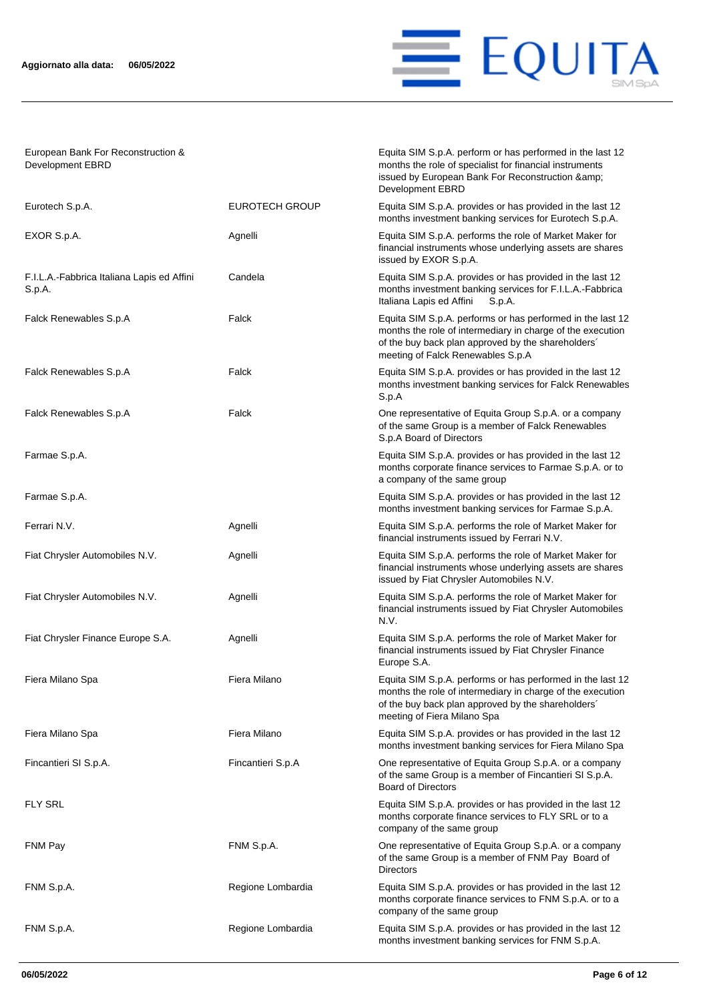

Equita SIM S.p.A. perform or has performed in the last 12 months the role of specialist for financial instruments issued by European Bank For Reconstruction &

European Bank For Reconstruction & Development EBRD

|                                                      |                       | Development EBRD                                                                                                                                                                                                    |
|------------------------------------------------------|-----------------------|---------------------------------------------------------------------------------------------------------------------------------------------------------------------------------------------------------------------|
| Eurotech S.p.A.                                      | <b>EUROTECH GROUP</b> | Equita SIM S.p.A. provides or has provided in the last 12<br>months investment banking services for Eurotech S.p.A.                                                                                                 |
| EXOR S.p.A.                                          | Agnelli               | Equita SIM S.p.A. performs the role of Market Maker for<br>financial instruments whose underlying assets are shares<br>issued by EXOR S.p.A.                                                                        |
| F.I.L.A.-Fabbrica Italiana Lapis ed Affini<br>S.p.A. | Candela               | Equita SIM S.p.A. provides or has provided in the last 12<br>months investment banking services for F.I.L.A.-Fabbrica<br>Italiana Lapis ed Affini<br>S.p.A.                                                         |
| Falck Renewables S.p.A                               | Falck                 | Equita SIM S.p.A. performs or has performed in the last 12<br>months the role of intermediary in charge of the execution<br>of the buy back plan approved by the shareholders'<br>meeting of Falck Renewables S.p.A |
| Falck Renewables S.p.A                               | Falck                 | Equita SIM S.p.A. provides or has provided in the last 12<br>months investment banking services for Falck Renewables<br>S.p.A                                                                                       |
| Falck Renewables S.p.A                               | Falck                 | One representative of Equita Group S.p.A. or a company<br>of the same Group is a member of Falck Renewables<br>S.p.A Board of Directors                                                                             |
| Farmae S.p.A.                                        |                       | Equita SIM S.p.A. provides or has provided in the last 12<br>months corporate finance services to Farmae S.p.A. or to<br>a company of the same group                                                                |
| Farmae S.p.A.                                        |                       | Equita SIM S.p.A. provides or has provided in the last 12<br>months investment banking services for Farmae S.p.A.                                                                                                   |
| Ferrari N.V.                                         | Agnelli               | Equita SIM S.p.A. performs the role of Market Maker for<br>financial instruments issued by Ferrari N.V.                                                                                                             |
| Fiat Chrysler Automobiles N.V.                       | Agnelli               | Equita SIM S.p.A. performs the role of Market Maker for<br>financial instruments whose underlying assets are shares<br>issued by Fiat Chrysler Automobiles N.V.                                                     |
| Fiat Chrysler Automobiles N.V.                       | Agnelli               | Equita SIM S.p.A. performs the role of Market Maker for<br>financial instruments issued by Fiat Chrysler Automobiles<br>N.V.                                                                                        |
| Fiat Chrysler Finance Europe S.A.                    | Agnelli               | Equita SIM S.p.A. performs the role of Market Maker for<br>financial instruments issued by Fiat Chrysler Finance<br>Europe S.A.                                                                                     |
| Fiera Milano Spa                                     | Fiera Milano          | Equita SIM S.p.A. performs or has performed in the last 12<br>months the role of intermediary in charge of the execution<br>of the buy back plan approved by the shareholders'<br>meeting of Fiera Milano Spa       |
| Fiera Milano Spa                                     | Fiera Milano          | Equita SIM S.p.A. provides or has provided in the last 12<br>months investment banking services for Fiera Milano Spa                                                                                                |
| Fincantieri SI S.p.A.                                | Fincantieri S.p.A     | One representative of Equita Group S.p.A. or a company<br>of the same Group is a member of Fincantieri SI S.p.A.<br><b>Board of Directors</b>                                                                       |
| <b>FLY SRL</b>                                       |                       | Equita SIM S.p.A. provides or has provided in the last 12<br>months corporate finance services to FLY SRL or to a<br>company of the same group                                                                      |
| FNM Pay                                              | FNM S.p.A.            | One representative of Equita Group S.p.A. or a company<br>of the same Group is a member of FNM Pay Board of<br><b>Directors</b>                                                                                     |
| FNM S.p.A.                                           | Regione Lombardia     | Equita SIM S.p.A. provides or has provided in the last 12<br>months corporate finance services to FNM S.p.A. or to a<br>company of the same group                                                                   |
| FNM S.p.A.                                           | Regione Lombardia     | Equita SIM S.p.A. provides or has provided in the last 12<br>months investment banking services for FNM S.p.A.                                                                                                      |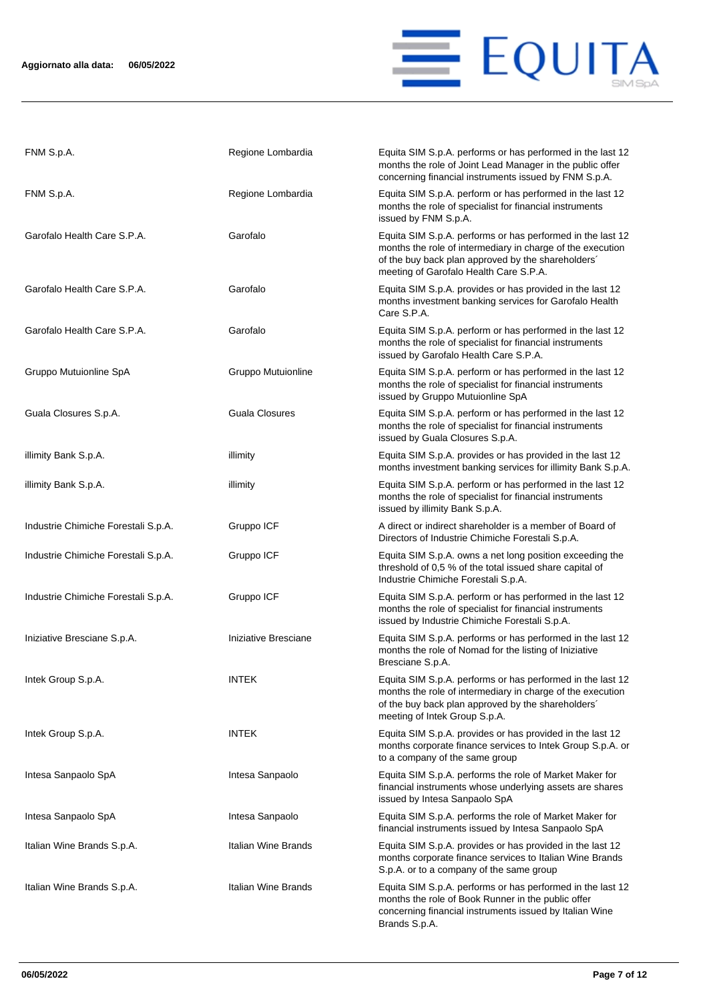

| FNM S.p.A.                          | Regione Lombardia     | Equita SIM S.p.A. performs or has performed in the last 12<br>months the role of Joint Lead Manager in the public offer<br>concerning financial instruments issued by FNM S.p.A.                                         |
|-------------------------------------|-----------------------|--------------------------------------------------------------------------------------------------------------------------------------------------------------------------------------------------------------------------|
| FNM S.p.A.                          | Regione Lombardia     | Equita SIM S.p.A. perform or has performed in the last 12<br>months the role of specialist for financial instruments<br>issued by FNM S.p.A.                                                                             |
| Garofalo Health Care S.P.A.         | Garofalo              | Equita SIM S.p.A. performs or has performed in the last 12<br>months the role of intermediary in charge of the execution<br>of the buy back plan approved by the shareholders'<br>meeting of Garofalo Health Care S.P.A. |
| Garofalo Health Care S.P.A.         | Garofalo              | Equita SIM S.p.A. provides or has provided in the last 12<br>months investment banking services for Garofalo Health<br>Care S.P.A.                                                                                       |
| Garofalo Health Care S.P.A.         | Garofalo              | Equita SIM S.p.A. perform or has performed in the last 12<br>months the role of specialist for financial instruments<br>issued by Garofalo Health Care S.P.A.                                                            |
| Gruppo Mutuionline SpA              | Gruppo Mutuionline    | Equita SIM S.p.A. perform or has performed in the last 12<br>months the role of specialist for financial instruments<br>issued by Gruppo Mutuionline SpA                                                                 |
| Guala Closures S.p.A.               | <b>Guala Closures</b> | Equita SIM S.p.A. perform or has performed in the last 12<br>months the role of specialist for financial instruments<br>issued by Guala Closures S.p.A.                                                                  |
| illimity Bank S.p.A.                | illimity              | Equita SIM S.p.A. provides or has provided in the last 12<br>months investment banking services for illimity Bank S.p.A.                                                                                                 |
| illimity Bank S.p.A.                | illimity              | Equita SIM S.p.A. perform or has performed in the last 12<br>months the role of specialist for financial instruments<br>issued by illimity Bank S.p.A.                                                                   |
| Industrie Chimiche Forestali S.p.A. | Gruppo ICF            | A direct or indirect shareholder is a member of Board of<br>Directors of Industrie Chimiche Forestali S.p.A.                                                                                                             |
| Industrie Chimiche Forestali S.p.A. | Gruppo ICF            | Equita SIM S.p.A. owns a net long position exceeding the<br>threshold of 0,5 % of the total issued share capital of<br>Industrie Chimiche Forestali S.p.A.                                                               |
| Industrie Chimiche Forestali S.p.A. | Gruppo ICF            | Equita SIM S.p.A. perform or has performed in the last 12<br>months the role of specialist for financial instruments<br>issued by Industrie Chimiche Forestali S.p.A.                                                    |
| Iniziative Bresciane S.p.A.         | Iniziative Bresciane  | Equita SIM S.p.A. performs or has performed in the last 12<br>months the role of Nomad for the listing of Iniziative<br>Bresciane S.p.A.                                                                                 |
| Intek Group S.p.A.                  | <b>INTEK</b>          | Equita SIM S.p.A. performs or has performed in the last 12<br>months the role of intermediary in charge of the execution<br>of the buy back plan approved by the shareholders'<br>meeting of Intek Group S.p.A.          |
| Intek Group S.p.A.                  | <b>INTEK</b>          | Equita SIM S.p.A. provides or has provided in the last 12<br>months corporate finance services to Intek Group S.p.A. or<br>to a company of the same group                                                                |
| Intesa Sanpaolo SpA                 | Intesa Sanpaolo       | Equita SIM S.p.A. performs the role of Market Maker for<br>financial instruments whose underlying assets are shares<br>issued by Intesa Sanpaolo SpA                                                                     |
| Intesa Sanpaolo SpA                 | Intesa Sanpaolo       | Equita SIM S.p.A. performs the role of Market Maker for<br>financial instruments issued by Intesa Sanpaolo SpA                                                                                                           |
| Italian Wine Brands S.p.A.          | Italian Wine Brands   | Equita SIM S.p.A. provides or has provided in the last 12<br>months corporate finance services to Italian Wine Brands<br>S.p.A. or to a company of the same group                                                        |
| Italian Wine Brands S.p.A.          | Italian Wine Brands   | Equita SIM S.p.A. performs or has performed in the last 12<br>months the role of Book Runner in the public offer<br>concerning financial instruments issued by Italian Wine<br>Brands S.p.A.                             |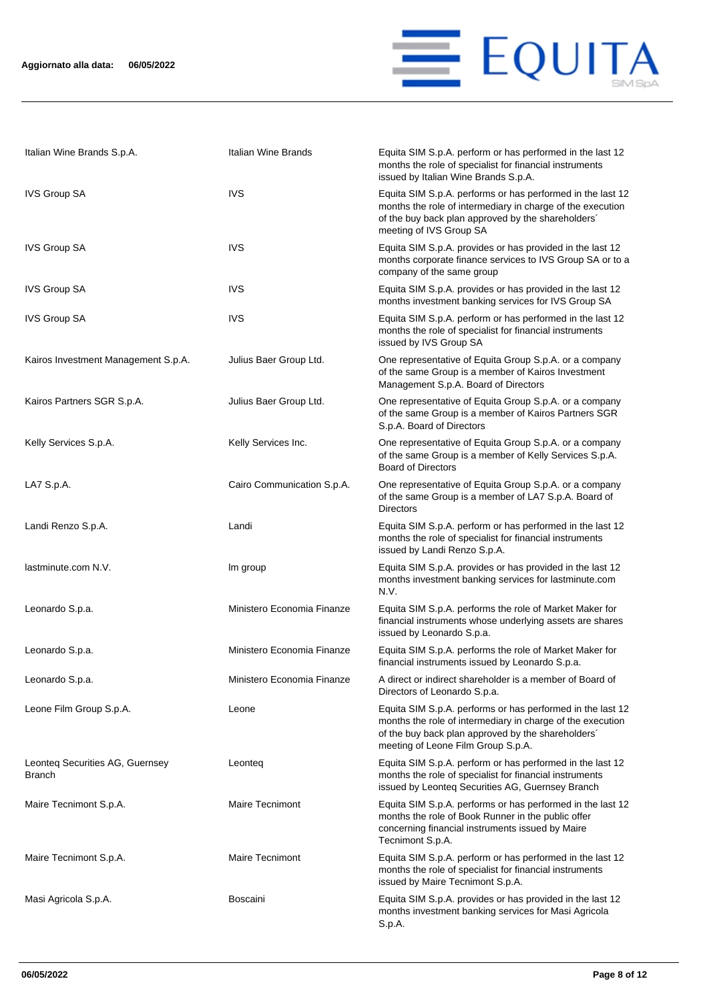

| Italian Wine Brands S.p.A.                | Italian Wine Brands        | Equita SIM S.p.A. perform or has performed in the last 12<br>months the role of specialist for financial instruments<br>issued by Italian Wine Brands S.p.A.                                                         |
|-------------------------------------------|----------------------------|----------------------------------------------------------------------------------------------------------------------------------------------------------------------------------------------------------------------|
| <b>IVS Group SA</b>                       | <b>IVS</b>                 | Equita SIM S.p.A. performs or has performed in the last 12<br>months the role of intermediary in charge of the execution<br>of the buy back plan approved by the shareholders'<br>meeting of IVS Group SA            |
| <b>IVS Group SA</b>                       | <b>IVS</b>                 | Equita SIM S.p.A. provides or has provided in the last 12<br>months corporate finance services to IVS Group SA or to a<br>company of the same group                                                                  |
| <b>IVS Group SA</b>                       | IVS                        | Equita SIM S.p.A. provides or has provided in the last 12<br>months investment banking services for IVS Group SA                                                                                                     |
| <b>IVS Group SA</b>                       | <b>IVS</b>                 | Equita SIM S.p.A. perform or has performed in the last 12<br>months the role of specialist for financial instruments<br>issued by IVS Group SA                                                                       |
| Kairos Investment Management S.p.A.       | Julius Baer Group Ltd.     | One representative of Equita Group S.p.A. or a company<br>of the same Group is a member of Kairos Investment<br>Management S.p.A. Board of Directors                                                                 |
| Kairos Partners SGR S.p.A.                | Julius Baer Group Ltd.     | One representative of Equita Group S.p.A. or a company<br>of the same Group is a member of Kairos Partners SGR<br>S.p.A. Board of Directors                                                                          |
| Kelly Services S.p.A.                     | Kelly Services Inc.        | One representative of Equita Group S.p.A. or a company<br>of the same Group is a member of Kelly Services S.p.A.<br><b>Board of Directors</b>                                                                        |
| LA7 S.p.A.                                | Cairo Communication S.p.A. | One representative of Equita Group S.p.A. or a company<br>of the same Group is a member of LA7 S.p.A. Board of<br><b>Directors</b>                                                                                   |
| Landi Renzo S.p.A.                        | Landi                      | Equita SIM S.p.A. perform or has performed in the last 12<br>months the role of specialist for financial instruments<br>issued by Landi Renzo S.p.A.                                                                 |
| lastminute.com N.V.                       | Im group                   | Equita SIM S.p.A. provides or has provided in the last 12<br>months investment banking services for lastminute.com<br>N.V.                                                                                           |
| Leonardo S.p.a.                           | Ministero Economia Finanze | Equita SIM S.p.A. performs the role of Market Maker for<br>financial instruments whose underlying assets are shares<br>issued by Leonardo S.p.a.                                                                     |
| Leonardo S.p.a.                           | Ministero Economia Finanze | Equita SIM S.p.A. performs the role of Market Maker for<br>financial instruments issued by Leonardo S.p.a.                                                                                                           |
| Leonardo S.p.a.                           | Ministero Economia Finanze | A direct or indirect shareholder is a member of Board of<br>Directors of Leonardo S.p.a.                                                                                                                             |
| Leone Film Group S.p.A.                   | Leone                      | Equita SIM S.p.A. performs or has performed in the last 12<br>months the role of intermediary in charge of the execution<br>of the buy back plan approved by the shareholders'<br>meeting of Leone Film Group S.p.A. |
| Leonteq Securities AG, Guernsey<br>Branch | Leonteg                    | Equita SIM S.p.A. perform or has performed in the last 12<br>months the role of specialist for financial instruments<br>issued by Leonteq Securities AG, Guernsey Branch                                             |
| Maire Tecnimont S.p.A.                    | <b>Maire Tecnimont</b>     | Equita SIM S.p.A. performs or has performed in the last 12<br>months the role of Book Runner in the public offer<br>concerning financial instruments issued by Maire<br>Tecnimont S.p.A.                             |
| Maire Tecnimont S.p.A.                    | <b>Maire Tecnimont</b>     | Equita SIM S.p.A. perform or has performed in the last 12<br>months the role of specialist for financial instruments<br>issued by Maire Tecnimont S.p.A.                                                             |
| Masi Agricola S.p.A.                      | Boscaini                   | Equita SIM S.p.A. provides or has provided in the last 12<br>months investment banking services for Masi Agricola<br>S.p.A.                                                                                          |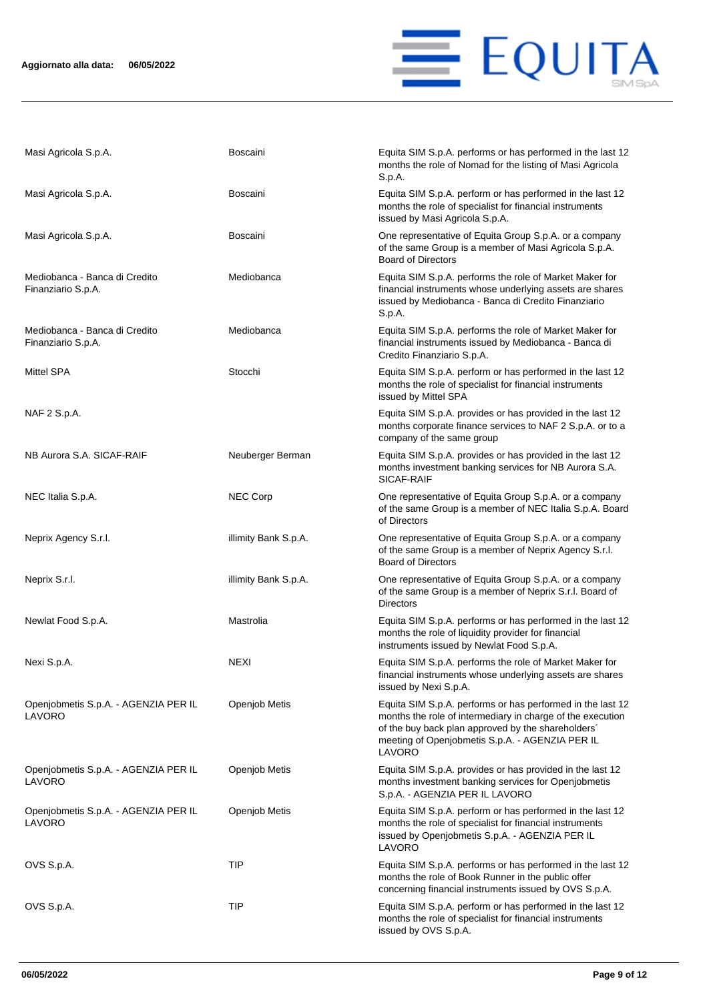

| Masi Agricola S.p.A.                                | <b>Boscaini</b>      | Equita SIM S.p.A. performs or has performed in the last 12<br>months the role of Nomad for the listing of Masi Agricola<br>S.p.A.                                                                                                           |
|-----------------------------------------------------|----------------------|---------------------------------------------------------------------------------------------------------------------------------------------------------------------------------------------------------------------------------------------|
| Masi Agricola S.p.A.                                | <b>Boscaini</b>      | Equita SIM S.p.A. perform or has performed in the last 12<br>months the role of specialist for financial instruments<br>issued by Masi Agricola S.p.A.                                                                                      |
| Masi Agricola S.p.A.                                | <b>Boscaini</b>      | One representative of Equita Group S.p.A. or a company<br>of the same Group is a member of Masi Agricola S.p.A.<br><b>Board of Directors</b>                                                                                                |
| Mediobanca - Banca di Credito<br>Finanziario S.p.A. | Mediobanca           | Equita SIM S.p.A. performs the role of Market Maker for<br>financial instruments whose underlying assets are shares<br>issued by Mediobanca - Banca di Credito Finanziario<br>S.p.A.                                                        |
| Mediobanca - Banca di Credito<br>Finanziario S.p.A. | Mediobanca           | Equita SIM S.p.A. performs the role of Market Maker for<br>financial instruments issued by Mediobanca - Banca di<br>Credito Finanziario S.p.A.                                                                                              |
| Mittel SPA                                          | Stocchi              | Equita SIM S.p.A. perform or has performed in the last 12<br>months the role of specialist for financial instruments<br>issued by Mittel SPA                                                                                                |
| NAF 2 S.p.A.                                        |                      | Equita SIM S.p.A. provides or has provided in the last 12<br>months corporate finance services to NAF 2 S.p.A. or to a<br>company of the same group                                                                                         |
| NB Aurora S.A. SICAF-RAIF                           | Neuberger Berman     | Equita SIM S.p.A. provides or has provided in the last 12<br>months investment banking services for NB Aurora S.A.<br>SICAF-RAIF                                                                                                            |
| NEC Italia S.p.A.                                   | <b>NEC Corp</b>      | One representative of Equita Group S.p.A. or a company<br>of the same Group is a member of NEC Italia S.p.A. Board<br>of Directors                                                                                                          |
| Neprix Agency S.r.l.                                | illimity Bank S.p.A. | One representative of Equita Group S.p.A. or a company<br>of the same Group is a member of Neprix Agency S.r.l.<br><b>Board of Directors</b>                                                                                                |
| Neprix S.r.l.                                       | illimity Bank S.p.A. | One representative of Equita Group S.p.A. or a company<br>of the same Group is a member of Neprix S.r.l. Board of<br><b>Directors</b>                                                                                                       |
| Newlat Food S.p.A.                                  | Mastrolia            | Equita SIM S.p.A. performs or has performed in the last 12<br>months the role of liquidity provider for financial<br>instruments issued by Newlat Food S.p.A.                                                                               |
| Nexi S.p.A.                                         | <b>NEXI</b>          | Equita SIM S.p.A. performs the role of Market Maker for<br>financial instruments whose underlying assets are shares<br>issued by Nexi S.p.A.                                                                                                |
| Openjobmetis S.p.A. - AGENZIA PER IL<br>LAVORO      | Openjob Metis        | Equita SIM S.p.A. performs or has performed in the last 12<br>months the role of intermediary in charge of the execution<br>of the buy back plan approved by the shareholders'<br>meeting of Openjobmetis S.p.A. - AGENZIA PER IL<br>LAVORO |
| Openjobmetis S.p.A. - AGENZIA PER IL<br>LAVORO      | Openjob Metis        | Equita SIM S.p.A. provides or has provided in the last 12<br>months investment banking services for Openjobmetis<br>S.p.A. - AGENZIA PER IL LAVORO                                                                                          |
| Openjobmetis S.p.A. - AGENZIA PER IL<br>LAVORO      | Openjob Metis        | Equita SIM S.p.A. perform or has performed in the last 12<br>months the role of specialist for financial instruments<br>issued by Openjobmetis S.p.A. - AGENZIA PER IL<br>LAVORO                                                            |
| OVS S.p.A.                                          | TIP                  | Equita SIM S.p.A. performs or has performed in the last 12<br>months the role of Book Runner in the public offer<br>concerning financial instruments issued by OVS S.p.A.                                                                   |
| OVS S.p.A.                                          | TIP                  | Equita SIM S.p.A. perform or has performed in the last 12<br>months the role of specialist for financial instruments<br>issued by OVS S.p.A.                                                                                                |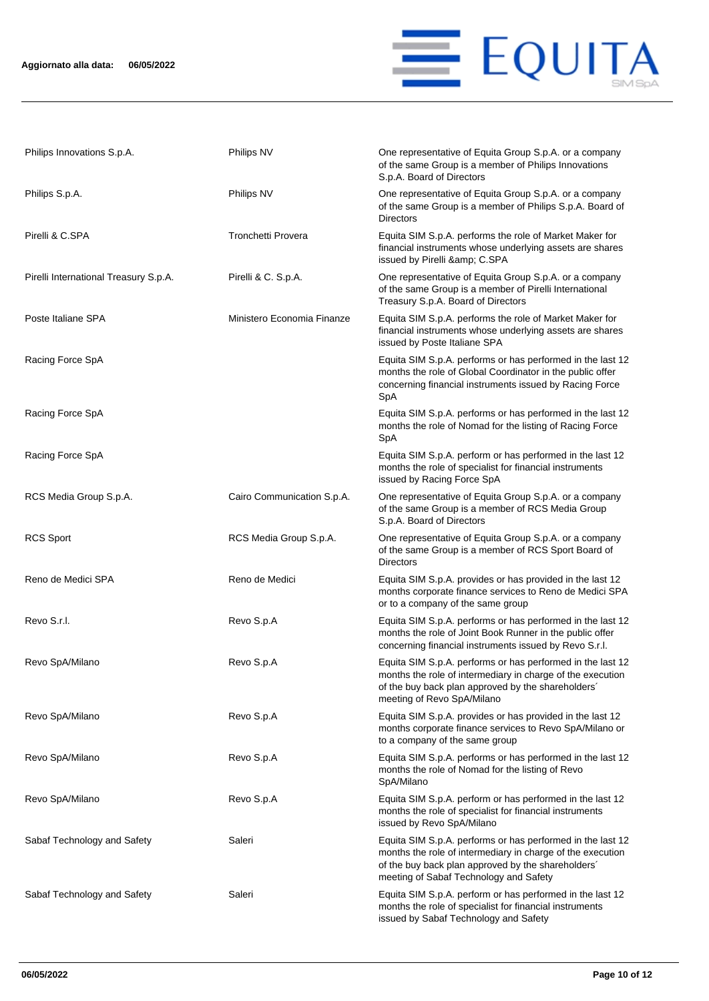

| Philips Innovations S.p.A.            | Philips NV                 | One representative of Equita Group S.p.A. or a company<br>of the same Group is a member of Philips Innovations<br>S.p.A. Board of Directors                                                                              |
|---------------------------------------|----------------------------|--------------------------------------------------------------------------------------------------------------------------------------------------------------------------------------------------------------------------|
| Philips S.p.A.                        | Philips NV                 | One representative of Equita Group S.p.A. or a company<br>of the same Group is a member of Philips S.p.A. Board of<br><b>Directors</b>                                                                                   |
| Pirelli & C.SPA                       | Tronchetti Provera         | Equita SIM S.p.A. performs the role of Market Maker for<br>financial instruments whose underlying assets are shares<br>issued by Pirelli & C.SPA                                                                         |
| Pirelli International Treasury S.p.A. | Pirelli & C. S.p.A.        | One representative of Equita Group S.p.A. or a company<br>of the same Group is a member of Pirelli International<br>Treasury S.p.A. Board of Directors                                                                   |
| Poste Italiane SPA                    | Ministero Economia Finanze | Equita SIM S.p.A. performs the role of Market Maker for<br>financial instruments whose underlying assets are shares<br>issued by Poste Italiane SPA                                                                      |
| Racing Force SpA                      |                            | Equita SIM S.p.A. performs or has performed in the last 12<br>months the role of Global Coordinator in the public offer<br>concerning financial instruments issued by Racing Force<br>SpA                                |
| Racing Force SpA                      |                            | Equita SIM S.p.A. performs or has performed in the last 12<br>months the role of Nomad for the listing of Racing Force<br>SpA                                                                                            |
| Racing Force SpA                      |                            | Equita SIM S.p.A. perform or has performed in the last 12<br>months the role of specialist for financial instruments<br>issued by Racing Force SpA                                                                       |
| RCS Media Group S.p.A.                | Cairo Communication S.p.A. | One representative of Equita Group S.p.A. or a company<br>of the same Group is a member of RCS Media Group<br>S.p.A. Board of Directors                                                                                  |
| <b>RCS Sport</b>                      | RCS Media Group S.p.A.     | One representative of Equita Group S.p.A. or a company<br>of the same Group is a member of RCS Sport Board of<br><b>Directors</b>                                                                                        |
| Reno de Medici SPA                    | Reno de Medici             | Equita SIM S.p.A. provides or has provided in the last 12<br>months corporate finance services to Reno de Medici SPA<br>or to a company of the same group                                                                |
| Revo S.r.l.                           | Revo S.p.A                 | Equita SIM S.p.A. performs or has performed in the last 12<br>months the role of Joint Book Runner in the public offer<br>concerning financial instruments issued by Revo S.r.l.                                         |
| Revo SpA/Milano                       | Revo S.p.A                 | Equita SIM S.p.A. performs or has performed in the last 12<br>months the role of intermediary in charge of the execution<br>of the buy back plan approved by the shareholders'<br>meeting of Revo SpA/Milano             |
| Revo SpA/Milano                       | Revo S.p.A                 | Equita SIM S.p.A. provides or has provided in the last 12<br>months corporate finance services to Revo SpA/Milano or<br>to a company of the same group                                                                   |
| Revo SpA/Milano                       | Revo S.p.A                 | Equita SIM S.p.A. performs or has performed in the last 12<br>months the role of Nomad for the listing of Revo<br>SpA/Milano                                                                                             |
| Revo SpA/Milano                       | Revo S.p.A                 | Equita SIM S.p.A. perform or has performed in the last 12<br>months the role of specialist for financial instruments<br>issued by Revo SpA/Milano                                                                        |
| Sabaf Technology and Safety           | Saleri                     | Equita SIM S.p.A. performs or has performed in the last 12<br>months the role of intermediary in charge of the execution<br>of the buy back plan approved by the shareholders'<br>meeting of Sabaf Technology and Safety |
| Sabaf Technology and Safety           | Saleri                     | Equita SIM S.p.A. perform or has performed in the last 12<br>months the role of specialist for financial instruments<br>issued by Sabaf Technology and Safety                                                            |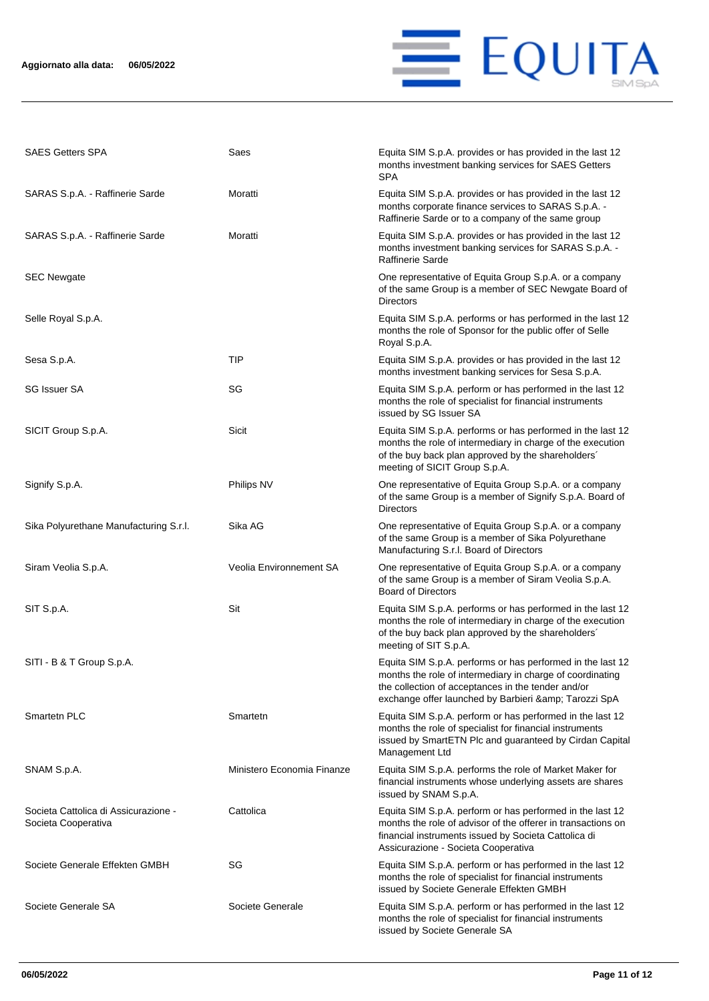

| <b>SAES Getters SPA</b>                                     | Saes                       | Equita SIM S.p.A. provides or has provided in the last 12<br>months investment banking services for SAES Getters<br>SPA                                                                                                                 |
|-------------------------------------------------------------|----------------------------|-----------------------------------------------------------------------------------------------------------------------------------------------------------------------------------------------------------------------------------------|
| SARAS S.p.A. - Raffinerie Sarde                             | Moratti                    | Equita SIM S.p.A. provides or has provided in the last 12<br>months corporate finance services to SARAS S.p.A. -<br>Raffinerie Sarde or to a company of the same group                                                                  |
| SARAS S.p.A. - Raffinerie Sarde                             | Moratti                    | Equita SIM S.p.A. provides or has provided in the last 12<br>months investment banking services for SARAS S.p.A. -<br><b>Raffinerie Sarde</b>                                                                                           |
| <b>SEC Newgate</b>                                          |                            | One representative of Equita Group S.p.A. or a company<br>of the same Group is a member of SEC Newgate Board of<br>Directors                                                                                                            |
| Selle Royal S.p.A.                                          |                            | Equita SIM S.p.A. performs or has performed in the last 12<br>months the role of Sponsor for the public offer of Selle<br>Royal S.p.A.                                                                                                  |
| Sesa S.p.A.                                                 | TIP                        | Equita SIM S.p.A. provides or has provided in the last 12<br>months investment banking services for Sesa S.p.A.                                                                                                                         |
| <b>SG Issuer SA</b>                                         | SG                         | Equita SIM S.p.A. perform or has performed in the last 12<br>months the role of specialist for financial instruments<br>issued by SG Issuer SA                                                                                          |
| SICIT Group S.p.A.                                          | Sicit                      | Equita SIM S.p.A. performs or has performed in the last 12<br>months the role of intermediary in charge of the execution<br>of the buy back plan approved by the shareholders'<br>meeting of SICIT Group S.p.A.                         |
| Signify S.p.A.                                              | Philips NV                 | One representative of Equita Group S.p.A. or a company<br>of the same Group is a member of Signify S.p.A. Board of<br>Directors                                                                                                         |
| Sika Polyurethane Manufacturing S.r.l.                      | Sika AG                    | One representative of Equita Group S.p.A. or a company<br>of the same Group is a member of Sika Polyurethane<br>Manufacturing S.r.l. Board of Directors                                                                                 |
| Siram Veolia S.p.A.                                         | Veolia Environnement SA    | One representative of Equita Group S.p.A. or a company<br>of the same Group is a member of Siram Veolia S.p.A.<br><b>Board of Directors</b>                                                                                             |
| SIT S.p.A.                                                  | Sit                        | Equita SIM S.p.A. performs or has performed in the last 12<br>months the role of intermediary in charge of the execution<br>of the buy back plan approved by the shareholders'<br>meeting of SIT S.p.A.                                 |
| SITI - B & T Group S.p.A.                                   |                            | Equita SIM S.p.A. performs or has performed in the last 12<br>months the role of intermediary in charge of coordinating<br>the collection of acceptances in the tender and/or<br>exchange offer launched by Barbieri & amp; Tarozzi SpA |
| Smartetn PLC                                                | Smartetn                   | Equita SIM S.p.A. perform or has performed in the last 12<br>months the role of specialist for financial instruments<br>issued by SmartETN Plc and guaranteed by Cirdan Capital<br>Management Ltd                                       |
| SNAM S.p.A.                                                 | Ministero Economia Finanze | Equita SIM S.p.A. performs the role of Market Maker for<br>financial instruments whose underlying assets are shares<br>issued by SNAM S.p.A.                                                                                            |
| Societa Cattolica di Assicurazione -<br>Societa Cooperativa | Cattolica                  | Equita SIM S.p.A. perform or has performed in the last 12<br>months the role of advisor of the offerer in transactions on<br>financial instruments issued by Societa Cattolica di<br>Assicurazione - Societa Cooperativa                |
| Societe Generale Effekten GMBH                              | SG                         | Equita SIM S.p.A. perform or has performed in the last 12<br>months the role of specialist for financial instruments<br>issued by Societe Generale Effekten GMBH                                                                        |
| Societe Generale SA                                         | Societe Generale           | Equita SIM S.p.A. perform or has performed in the last 12<br>months the role of specialist for financial instruments<br>issued by Societe Generale SA                                                                                   |